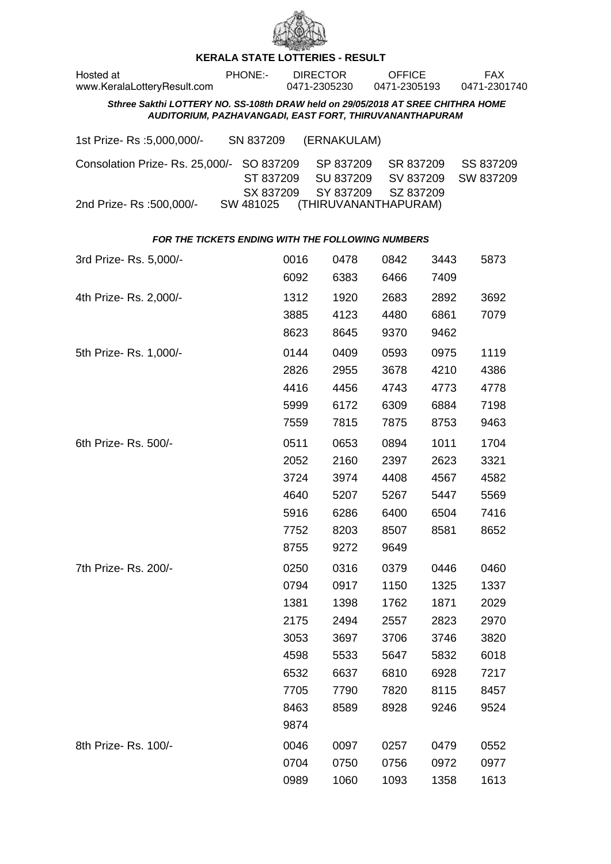

## **KERALA STATE LOTTERIES - RESULT**

| Hosted at<br>www.KeralaLotteryResult.com                                                                                                   | PHONE:-                             |              | <b>DIRECTOR</b><br>0471-2305230     | <b>OFFICE</b><br>0471-2305193       |              | <b>FAX</b><br>0471-2301740 |  |  |  |
|--------------------------------------------------------------------------------------------------------------------------------------------|-------------------------------------|--------------|-------------------------------------|-------------------------------------|--------------|----------------------------|--|--|--|
| Sthree Sakthi LOTTERY NO. SS-108th DRAW held on 29/05/2018 AT SREE CHITHRA HOME<br>AUDITORIUM, PAZHAVANGADI, EAST FORT, THIRUVANANTHAPURAM |                                     |              |                                     |                                     |              |                            |  |  |  |
| 1st Prize-Rs :5,000,000/-                                                                                                                  | SN 837209                           |              | (ERNAKULAM)                         |                                     |              |                            |  |  |  |
| Consolation Prize-Rs. 25,000/-                                                                                                             | SO 837209<br>ST 837209<br>SX 837209 |              | SP 837209<br>SU 837209<br>SY 837209 | SR 837209<br>SV 837209<br>SZ 837209 |              | SS 837209<br>SW 837209     |  |  |  |
| 2nd Prize- Rs :500,000/-                                                                                                                   | SW 481025                           |              | (THIRUVANANTHAPURAM)                |                                     |              |                            |  |  |  |
| FOR THE TICKETS ENDING WITH THE FOLLOWING NUMBERS                                                                                          |                                     |              |                                     |                                     |              |                            |  |  |  |
| 3rd Prize-Rs. 5,000/-                                                                                                                      |                                     | 0016<br>6092 | 0478<br>6383                        | 0842<br>6466                        | 3443<br>7409 | 5873                       |  |  |  |
| 4th Prize-Rs. 2,000/-                                                                                                                      |                                     | 1312         | 1920                                | 2683                                | 2892         | 3692                       |  |  |  |
|                                                                                                                                            |                                     | 3885         | 4123                                | 4480                                | 6861         | 7079                       |  |  |  |
|                                                                                                                                            |                                     | 8623         | 8645                                | 9370                                | 9462         |                            |  |  |  |
| 5th Prize-Rs. 1,000/-                                                                                                                      |                                     | 0144         | 0409                                | 0593                                | 0975         | 1119                       |  |  |  |
|                                                                                                                                            |                                     | 2826         | 2955                                | 3678                                | 4210         | 4386                       |  |  |  |
|                                                                                                                                            |                                     | 4416         | 4456                                | 4743                                | 4773         | 4778                       |  |  |  |
|                                                                                                                                            |                                     | 5999         | 6172                                | 6309                                | 6884         | 7198                       |  |  |  |
|                                                                                                                                            |                                     | 7559         | 7815                                | 7875                                | 8753         | 9463                       |  |  |  |
| 6th Prize-Rs. 500/-                                                                                                                        |                                     | 0511         | 0653                                | 0894                                | 1011         | 1704                       |  |  |  |
|                                                                                                                                            |                                     | 2052         | 2160                                | 2397                                | 2623         | 3321                       |  |  |  |
|                                                                                                                                            |                                     | 3724         | 3974                                | 4408                                | 4567         | 4582                       |  |  |  |
|                                                                                                                                            |                                     | 4640         | 5207                                | 5267                                | 5447         | 5569                       |  |  |  |
|                                                                                                                                            |                                     | 5916         | 6286                                | 6400                                | 6504         | 7416                       |  |  |  |
|                                                                                                                                            |                                     | 7752         | 8203                                | 8507                                | 8581         | 8652                       |  |  |  |
|                                                                                                                                            |                                     | 8755         | 9272                                | 9649                                |              |                            |  |  |  |
| 7th Prize- Rs. 200/-                                                                                                                       |                                     | 0250         | 0316                                | 0379                                | 0446         | 0460                       |  |  |  |
|                                                                                                                                            |                                     | 0794         | 0917                                | 1150                                | 1325         | 1337                       |  |  |  |
|                                                                                                                                            |                                     | 1381         | 1398                                | 1762                                | 1871         | 2029                       |  |  |  |
|                                                                                                                                            |                                     | 2175         | 2494                                | 2557                                | 2823         | 2970                       |  |  |  |
|                                                                                                                                            |                                     | 3053         | 3697                                | 3706                                | 3746         | 3820                       |  |  |  |
|                                                                                                                                            |                                     | 4598         | 5533                                | 5647                                | 5832         | 6018                       |  |  |  |
|                                                                                                                                            |                                     | 6532         | 6637                                | 6810                                | 6928         | 7217                       |  |  |  |
|                                                                                                                                            |                                     | 7705         | 7790                                | 7820                                | 8115         | 8457                       |  |  |  |
|                                                                                                                                            |                                     | 8463         | 8589                                | 8928                                | 9246         | 9524                       |  |  |  |
|                                                                                                                                            |                                     | 9874         |                                     |                                     |              |                            |  |  |  |
| 8th Prize-Rs. 100/-                                                                                                                        |                                     | 0046         | 0097                                | 0257                                | 0479         | 0552                       |  |  |  |
|                                                                                                                                            |                                     | 0704         | 0750                                | 0756                                | 0972         | 0977                       |  |  |  |
|                                                                                                                                            |                                     | 0989         | 1060                                | 1093                                | 1358         | 1613                       |  |  |  |